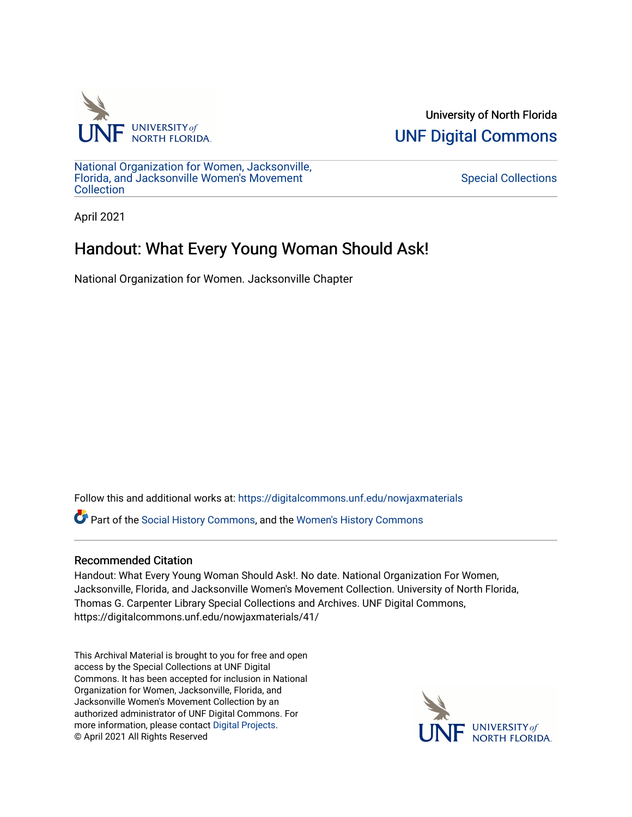

University of North Florida [UNF Digital Commons](https://digitalcommons.unf.edu/) 

[National Organization for Women, Jacksonville,](https://digitalcommons.unf.edu/nowjaxmaterials) [Florida, and Jacksonville Women's Movement](https://digitalcommons.unf.edu/nowjaxmaterials) **Collection** 

[Special Collections](https://digitalcommons.unf.edu/special_collections) 

April 2021

## Handout: What Every Young Woman Should Ask!

National Organization for Women. Jacksonville Chapter

Follow this and additional works at: [https://digitalcommons.unf.edu/nowjaxmaterials](https://digitalcommons.unf.edu/nowjaxmaterials?utm_source=digitalcommons.unf.edu%2Fnowjaxmaterials%2F41&utm_medium=PDF&utm_campaign=PDFCoverPages) 

Part of the [Social History Commons](http://network.bepress.com/hgg/discipline/506?utm_source=digitalcommons.unf.edu%2Fnowjaxmaterials%2F41&utm_medium=PDF&utm_campaign=PDFCoverPages), and the [Women's History Commons](http://network.bepress.com/hgg/discipline/507?utm_source=digitalcommons.unf.edu%2Fnowjaxmaterials%2F41&utm_medium=PDF&utm_campaign=PDFCoverPages)

## Recommended Citation

Handout: What Every Young Woman Should Ask!. No date. National Organization For Women, Jacksonville, Florida, and Jacksonville Women's Movement Collection. University of North Florida, Thomas G. Carpenter Library Special Collections and Archives. UNF Digital Commons, https://digitalcommons.unf.edu/nowjaxmaterials/41/

This Archival Material is brought to you for free and open access by the Special Collections at UNF Digital Commons. It has been accepted for inclusion in National Organization for Women, Jacksonville, Florida, and Jacksonville Women's Movement Collection by an authorized administrator of UNF Digital Commons. For more information, please contact [Digital Projects](mailto:lib-digital@unf.edu). © April 2021 All Rights Reserved